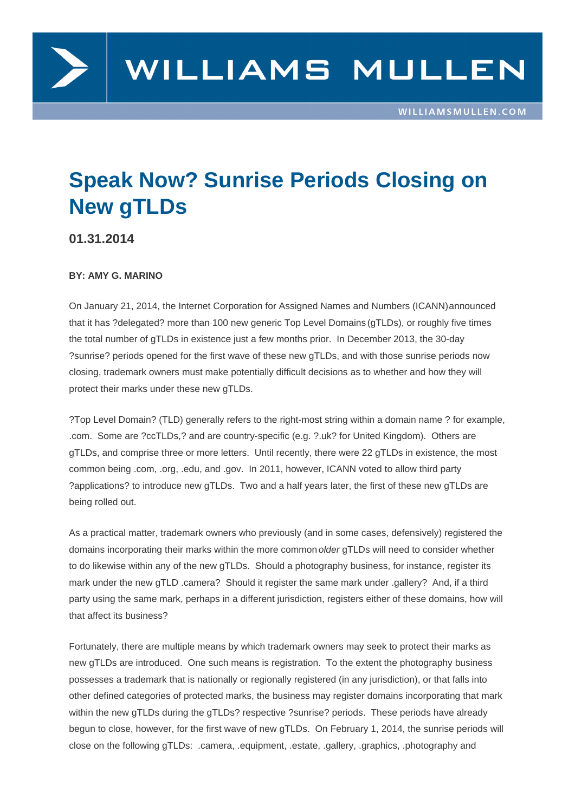## Speak Now? Sunrise Periods Closing on New gTLDs

01.31.2014

## BY: AMY G. MARINO

On January 21, 2014, the Internet Corporation for Assigned Names and Numbers (ICANN) announced that it has ?delegated? more than 100 new generic Top Level Domains (gTLDs), or roughly five times the total number of gTLDs in existence just a few months prior. In December 2013, the 30-day ?sunrise? periods opened for the first wave of these new gTLDs, and with those sunrise p[eriods now](http://www.icann.org/en/news/announcements/announcement-2-21jan14-en.htm)  closing, tr[ademark owners must make potentially difficult decisions as t](http://newgtlds.icann.org/en/program-status/delegated-strings)o whether and how they will protect their marks under these new gTLDs.

?Top Level Domain? (TLD) generally refers to the right-most string within a domain name ? for example, .com. Some are ?ccTLDs,? and are country-specific (e.g. ?.uk? for United Kingdom). Others are gTLDs, and comprise three or more letters. Until recently, there were 22 gTLDs in existence, the most common being .com, .org, .edu, and .gov. In 2011, however, ICANN voted to allow third party ?applications? to introduce new gTLDs. Two and a half years later, the first of these new gTLDs are being rolled out.

As a practical matter, trademark owners who previously (and in some cases, defensively) registered the domains incorporating their marks within the more common older gTLDs will need to consider whether to do likewise within any of the new gTLDs. Should a photography business, for instance, register its mark under the new gTLD .camera? Should it register the same mark under .gallery? And, if a third party using the same mark, perhaps in a different jurisdiction, registers either of these domains, how will that affect its business?

Fortunately, there are multiple means by which trademark owners may seek to protect their marks as new gTLDs are introduced. One such means is registration. To the extent the photography business possesses a trademark that is nationally or regionally registered (in any jurisdiction), or that falls into other defined categories of protected marks, the business may register domains incorporating that mark within the new gTLDs during the gTLDs? respective ?sunrise? periods. These periods have already begun to close, however, for the first wave of new gTLDs. On February 1, 2014, the sunrise periods will close on the following gTLDs: .camera, .equipment, .estate, .gallery, .graphics, .photography and